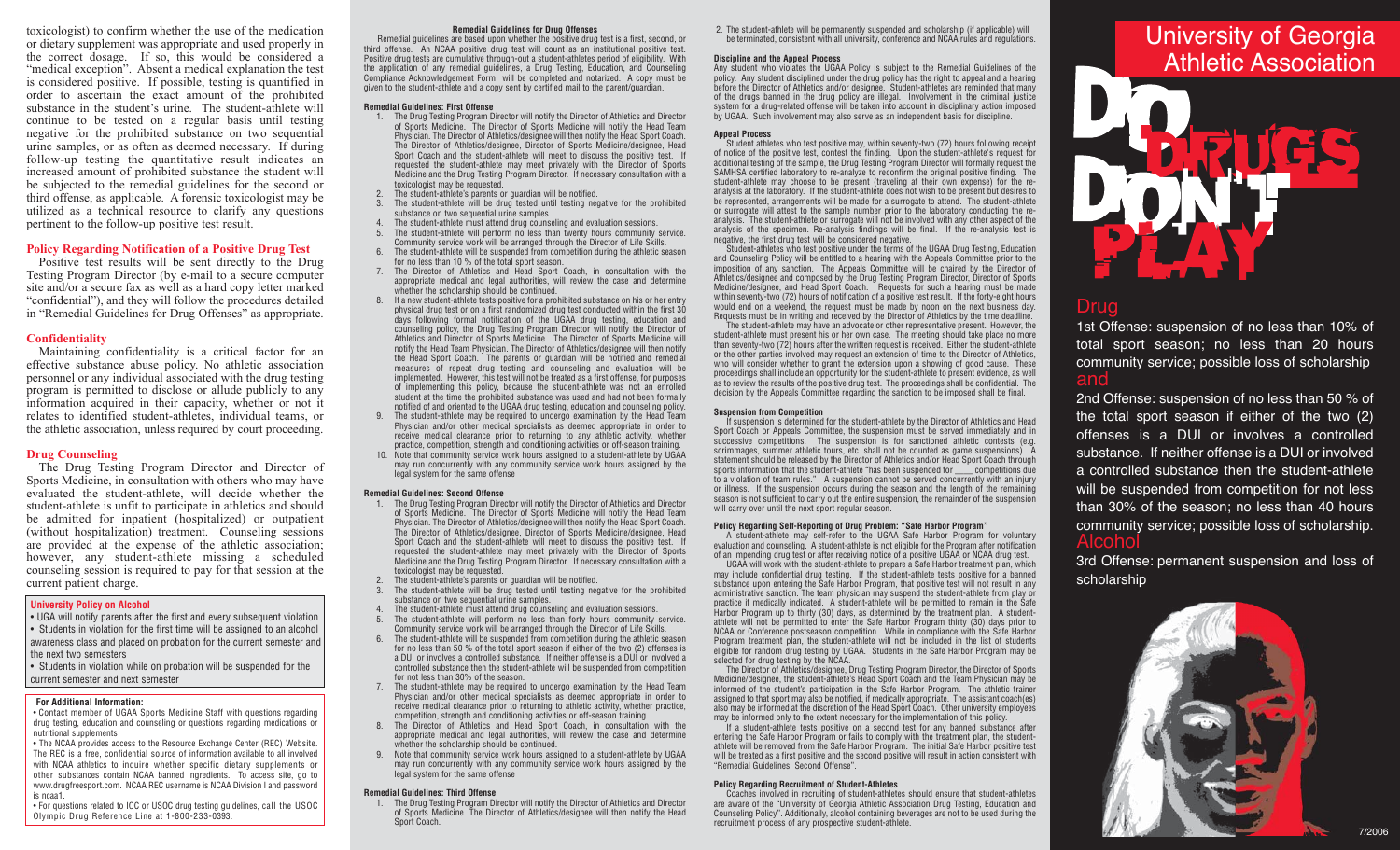toxicologist) to confirm whether the use of the medication or dietary supplement was appropriate and used properly in the correct dosage. If so, this would be considered a "medical exception". Absent a medical explanation the test is considered positive. If possible, testing is quantified in order to ascertain the exact amount of the prohibited substance in the student's urine. The student-athlete will continue to be tested on a regular basis until testing negative for the prohibited substance on two sequential urine samples, or as often as deemed necessary. If during follow-up testing the quantitative result indicates an increased amount of prohibited substance the student will be subjected to the remedial guidelines for the second or third offense, as applicable. A forensic toxicologist may be utilized as a technical resource to clarify any questions pertinent to the follow-up positive test result.

## **Policy Regarding Notification of a Positive Drug Test**

Positive test results will be sent directly to the Drug Testing Program Director (by e-mail to a secure computer site and/or a secure fax as well as a hard copy letter marked "confidential"), and they will follow the procedures detailed in "Remedial Guidelines for Drug Offenses" as appropriate.

#### **Confidentiality**

Maintaining confidentiality is a critical factor for an effective substance abuse policy. No athletic association personnel or any individual associated with the drug testing program is permitted to disclose or allude publicly to any information acquired in their capacity, whether or not it relates to identified student-athletes, individual teams, or the athletic association, unless required by court proceeding.

### **Drug Counseling**

The Drug Testing Program Director and Director of Sports Medicine, in consultation with others who may have evaluated the student-athlete, will decide whether the student-athlete is unfit to participate in athletics and should be admitted for inpatient (hospitalized) or outpatient (without hospitalization) treatment. Counseling sessions are provided at the expense of the athletic association; however, any student-athlete missing a scheduled counseling session is required to pay for that session at the current patient charge.

## **University Policy on Alcohol**

• UGA will notify parents after the first and every subsequent violation • Students in violation for the first time will be assigned to an alcohol awareness class and placed on probation for the current semester and the next two semesters

• Students in violation while on probation will be suspended for the current semester and next semester

## **For Additional Information:**

• Contact member of UGAA Sports Medicine Staff with questions regarding drug testing, education and counseling or questions regarding medications or nutritional supplements

• The NCAA provides access to the Resource Exchange Center (REC) Website. The REC is a free, confidential source of information available to all involved with NCAA athletics to inquire whether specific dietary supplements or other substances contain NCAA banned ingredients. To access site, go to www.drugfreesport.com. NCAA REC username is NCAA Division I and password is ncaa1.

• For questions related to IOC or USOC drug testing guidelines, call the USOC Olympic Drug Reference Line at 1-800-233-0393.

#### **Remedial Guidelines for Drug Offenses**

Remedial guidelines are based upon whether the positive drug test is a first, second, or third offense. An NCAA positive drug test will count as an institutional positive test. Positive drug tests are cumulative through-out a student-athletes period of eligibility. With the application of any remedial guidelines, a Drug Testing, Education, and Counseling Compliance Acknowledgement Form will be completed and notarized. A copy must be given to the student-athlete and a copy sent by certified mail to the parent/guardian.

#### **Remedial Guidelines: First Offense**

- 1. The Drug Testing Program Director will notify the Director of Athletics and Director of Sports Medicine. The Director of Sports Medicine will notify the Head Team Physician. The Director of Athletics/designee will then notify the Head Sport Coach. The Director of Athletics/designee, Director of Sports Medicine/designee, Head Sport Coach and the student-athlete will meet to discuss the positive test. If requested the student-athlete may meet privately with the Director of Sports Medicine and the Drug Testing Program Director. If necessary consultation with a toxicologist may be requested.
- The student-athlete's parents or guardian will be notified.
- The student-athlete will be drug tested until testing negative for the prohibited substance on two sequential urine samples.
- The student-athlete must attend drug counseling and evaluation sessions.
- The student-athlete will perform no less than twenty hours community service. Community service work will be arranged through the Director of Life Skills.
- The student-athlete will be suspended from competition during the athletic season for no less than 10 % of the total sport season.
- The Director of Athletics and Head Sport Coach, in consultation with the appropriate medical and legal authorities, will review the case and determine whether the scholarship should be continued.
- 8. If a new student-athlete tests positive for a prohibited substance on his or her entry physical drug test or on a first randomized drug test conducted within the first 30 days following formal notification of the UGAA drug testing, education and counseling policy, the Drug Testing Program Director will notify the Director of Athletics and Director of Sports Medicine. The Director of Sports Medicine will notify the Head Team Physician. The Director of Athletics/designee will then notify the Head Sport Coach. The parents or guardian will be notified and remedial measures of repeat drug testing and counseling and evaluation will be implemented. However, this test will not be treated as a first offense, for purposes of implementing this policy, because the student-athlete was not an enrolled student at the time the prohibited substance was used and had not been formally notified of and oriented to the UGAA drug testing, education and counseling policy.
- The student-athlete may be required to undergo examination by the Head Team Physician and/or other medical specialists as deemed appropriate in order to receive medical clearance prior to returning to any athletic activity, whether practice, competition, strength and conditioning activities or off-season training.
- 10. Note that community service work hours assigned to a student-athlete by UGAA may run concurrently with any community service work hours assigned by the legal system for the same offense

#### **Remedial Guidelines: Second Offense**

- 1. The Drug Testing Program Director will notify the Director of Athletics and Director of Sports Medicine. The Director of Sports Medicine will notify the Head Team Physician. The Director of Athletics/designee will then notify the Head Sport Coach. The Director of Athletics/designee, Director of Sports Medicine/designee, Head Sport Coach and the student-athlete will meet to discuss the positive test. If requested the student-athlete may meet privately with the Director of Sports Medicine and the Drug Testing Program Director. If necessary consultation with a toxicologist may be requested.
- The student-athlete's parents or quardian will be notified.
- The student-athlete will be drug tested until testing negative for the prohibited substance on two sequential urine samples.
- The student-athlete must attend drug counseling and evaluation sessions.
- The student-athlete will perform no less than forty hours community service. Community service work will be arranged through the Director of Life Skills.
- 6. The student-athlete will be suspended from competition during the athletic season for no less than 50 % of the total sport season if either of the two (2) offenses is a DUI or involves a controlled substance. If neither offense is a DUI or involved a controlled substance then the student-athlete will be suspended from competition for not less than 30% of the season.
- 7. The student-athlete may be required to undergo examination by the Head Team Physician and/or other medical specialists as deemed appropriate in order to receive medical clearance prior to returning to athletic activity, whether practice, competition, strength and conditioning activities or off-season training.
- 8. The Director of Athletics and Head Sport Coach, in consultation with the appropriate medical and legal authorities, will review the case and determine whether the scholarship should be continued.
- 9. Note that community service work hours assigned to a student-athlete by UGAA may run concurrently with any community service work hours assigned by the legal system for the same offense

#### **Remedial Guidelines: Third Offense**

1. The Drug Testing Program Director will notify the Director of Athletics and Director of Sports Medicine. The Director of Athletics/designee will then notify the Head Sport Coach.

2. The student-athlete will be permanently suspended and scholarship (if applicable) will be terminated, consistent with all university, conference and NCAA rules and regulations.

#### **Discipline and the Appeal Process**

Any student who violates the UGAA Policy is subject to the Remedial Guidelines of the policy. Any student disciplined under the drug policy has the right to appeal and a hearing before the Director of Athletics and/or designee. Student-athletes are reminded that many of the drugs banned in the drug policy are illegal. Involvement in the criminal justice system for a drug-related offense will be taken into account in disciplinary action imposed by UGAA. Such involvement may also serve as an independent basis for discipline.

#### **Appeal Process**

Student athletes who test positive may, within seventy-two (72) hours following receipt of notice of the positive test, contest the finding. Upon the student-athlete's request for additional testing of the sample, the Drug Testing Program Director will formally request the SAMHSA certified laboratory to re-analyze to reconfirm the original positive finding. The student-athlete may choose to be present (traveling at their own expense) for the reanalysis at the laboratory. If the student-athlete does not wish to be present but desires to be represented, arrangements will be made for a surrogate to attend. The student-athlete or surrogate will attest to the sample number prior to the laboratory conducting the reanalysis. The student-athlete or surrogate will not be involved with any other aspect of the analysis of the specimen. Re-analysis findings will be final. If the re-analysis test is negative, the first drug test will be considered negative.

Student-athletes who test positive under the terms of the UGAA Drug Testing, Education and Counseling Policy will be entitled to a hearing with the Appeals Committee prior to the imposition of any sanction. The Appeals Committee will be chaired by the Director of Athletics/designee and composed by the Drug Testing Program Director, Director of Sports Medicine/designee, and Head Sport Coach. Requests for such a hearing must be made within seventy-two (72) hours of notification of a positive test result. If the forty-eight hours would end on a weekend, the request must be made by noon on the next business day. Requests must be in writing and received by the Director of Athletics by the time deadline.

The student-athlete may have an advocate or other representative present. However, the student-athlete must present his or her own case. The meeting should take place no more than seventy-two (72) hours after the written request is received. Either the student-athlete or the other parties involved may request an extension of time to the Director of Athletics, who will consider whether to grant the extension upon a showing of good cause. These proceedings shall include an opportunity for the student-athlete to present evidence, as well as to review the results of the positive drug test. The proceedings shall be confidential. The decision by the Appeals Committee regarding the sanction to be imposed shall be final.

#### **Suspension from Competition**

If suspension is determined for the student-athlete by the Director of Athletics and Head Sport Coach or Appeals Committee, the suspension must be served immediately and in successive competitions. The suspension is for sanctioned athletic contests (e.g. scrimmages, summer athletic tours, etc. shall not be counted as game suspensions). A statement should be released by the Director of Athletics and/or Head Sport Coach through sports information that the student-athlete "has been suspended for competitions due to a violation of team rules." A suspension cannot be served concurrently with an injury or illness. If the suspension occurs during the season and the length of the remaining season is not sufficient to carry out the entire suspension, the remainder of the suspension will carry over until the next sport regular season.

#### **Policy Regarding Self-Reporting of Drug Problem: "Safe Harbor Program"**

A student-athlete may self-refer to the UGAA Safe Harbor Program for voluntary evaluation and counseling. A student-athlete is not eligible for the Program after notification of an impending drug test or after receiving notice of a positive UGAA or NCAA drug test.

UGAA will work with the student-athlete to prepare a Safe Harbor treatment plan, which may include confidential drug testing. If the student-athlete tests positive for a banned substance upon entering the Safe Harbor Program, that positive test will not result in any administrative sanction. The team physician may suspend the student-athlete from play or practice if medically indicated. A student-athlete will be permitted to remain in the Safe Harbor Program up to thirty (30) days, as determined by the treatment plan. A studentathlete will not be permitted to enter the Safe Harbor Program thirty (30) days prior to NCAA or Conference postseason competition. While in compliance with the Safe Harbor Program treatment plan, the student-athlete will not be included in the list of students eligible for random drug testing by UGAA. Students in the Safe Harbor Program may be selected for drug testing by the NCAA.

The Director of Athletics/designee, Drug Testing Program Director, the Director of Sports Medicine/designee, the student-athlete's Head Sport Coach and the Team Physician may be informed of the student's participation in the Safe Harbor Program. The athletic trainer assigned to that sport may also be notified, if medically appropriate. The assistant coach(es) also may be informed at the discretion of the Head Sport Coach. Other university employees may be informed only to the extent necessary for the implementation of this policy.

If a student-athlete tests positive on a second test for any banned substance after entering the Safe Harbor Program or fails to comply with the treatment plan, the studentathlete will be removed from the Safe Harbor Program. The initial Safe Harbor positive test will be treated as a first positive and the second positive will result in action consistent with "Remedial Guidelines: Second Offense".

#### **Policy Regarding Recruitment of Student-Athletes**

Coaches involved in recruiting of student-athletes should ensure that student-athletes are aware of the "University of Georgia Athletic Association Drug Testing, Education and Counseling Policy". Additionally, alcohol containing beverages are not to be used during the recruitment process of any prospective student-athlete.

# University of Georgia Athletic Association



## Drug

1st Offense: suspension of no less than 10% of total sport season; no less than 20 hours community service; possible loss of scholarship and

2nd Offense: suspension of no less than 50 % of the total sport season if either of the two (2) offenses is a DUI or involves a controlled substance. If neither offense is a DUI or involved a controlled substance then the student-athlete will be suspended from competition for not less than 30% of the season; no less than 40 hours community service; possible loss of scholarship. Alcohol

3rd Offense: permanent suspension and loss of scholarship